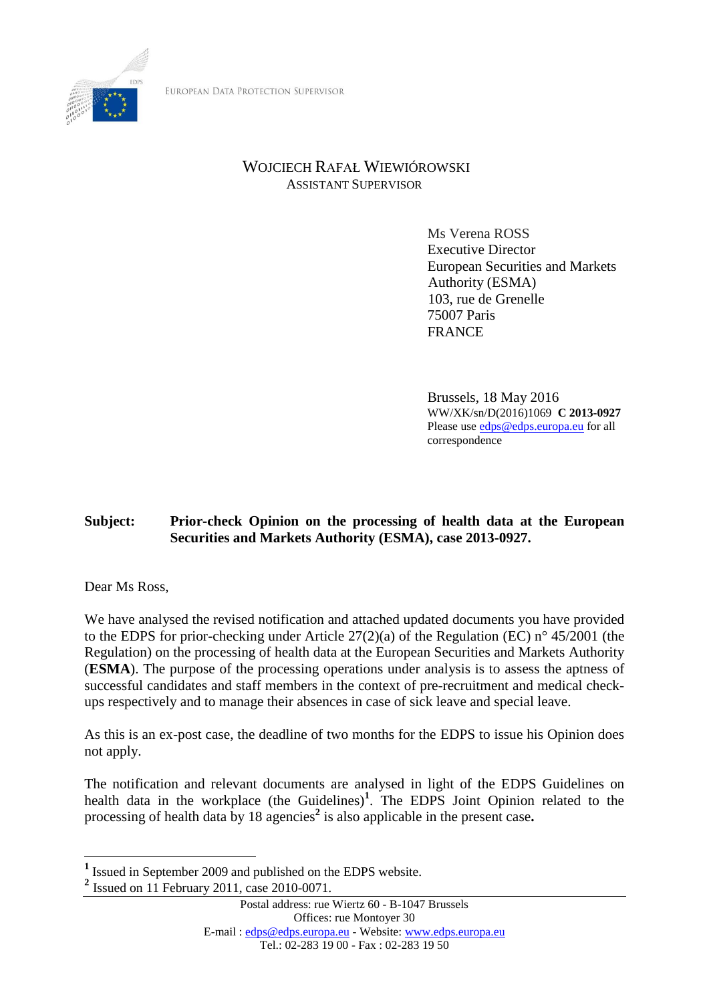

EUROPEAN DATA PROTECTION SUPERVISOR

# WOJCIECH RAFAŁ WIEWIÓROWSKI ASSISTANT SUPERVISOR

Ms Verena ROSS Executive Director European Securities and Markets Authority (ESMA) 103, rue de Grenelle 75007 Paris **FRANCE** 

Brussels, 18 May 2016 WW/XK/sn/D(2016)1069 **C 2013-0927** Please use [edps@edps.europa.eu](mailto:edps@edps.europa.eu) for all correspondence

# **Subject: Prior-check Opinion on the processing of health data at the European Securities and Markets Authority (ESMA), case 2013-0927.**

Dear Ms Ross,

We have analysed the revised notification and attached updated documents you have provided to the EDPS for prior-checking under Article 27(2)(a) of the Regulation (EC) n° 45/2001 (the Regulation) on the processing of health data at the European Securities and Markets Authority (**ESMA**). The purpose of the processing operations under analysis is to assess the aptness of successful candidates and staff members in the context of pre-recruitment and medical checkups respectively and to manage their absences in case of sick leave and special leave.

As this is an ex-post case, the deadline of two months for the EDPS to issue his Opinion does not apply.

The notification and relevant documents are analysed in light of the EDPS Guidelines on health data in the workplace (the Guidelines)**<sup>1</sup>** . The EDPS Joint Opinion related to the processing of health data by 18 agencies<sup>2</sup> is also applicable in the present case.

<sup>&</sup>lt;sup>1</sup> Issued in September 2009 and published on the EDPS website.

**<sup>2</sup>** Issued on 11 February 2011, case 2010-0071.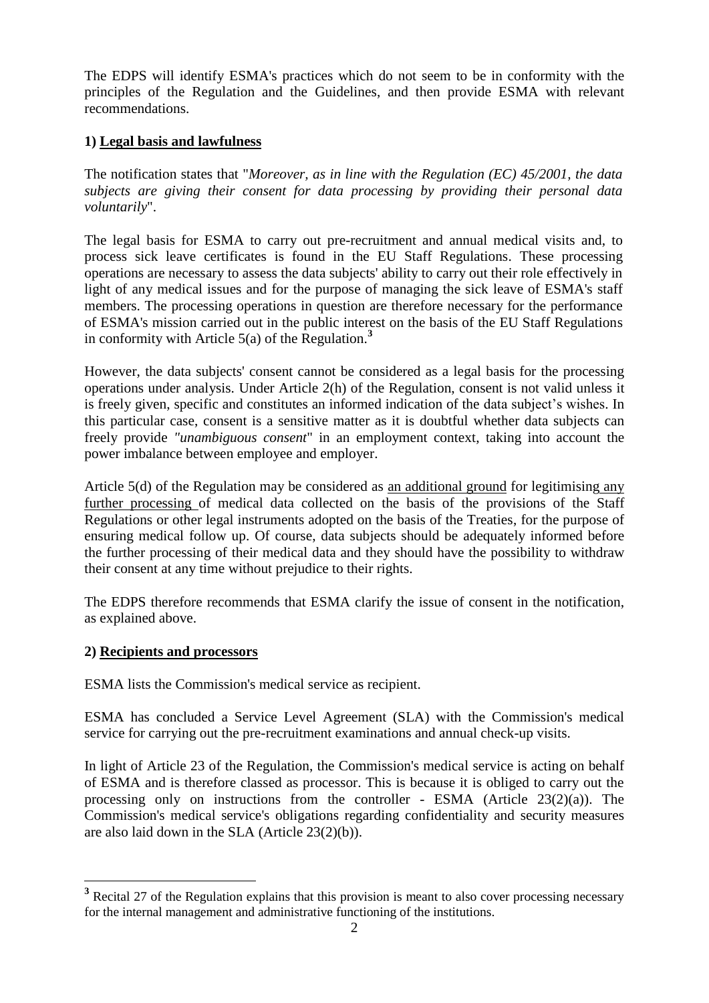The EDPS will identify ESMA's practices which do not seem to be in conformity with the principles of the Regulation and the Guidelines, and then provide ESMA with relevant recommendations.

## **1) Legal basis and lawfulness**

The notification states that "*Moreover, as in line with the Regulation (EC) 45/2001, the data subjects are giving their consent for data processing by providing their personal data voluntarily*".

The legal basis for ESMA to carry out pre-recruitment and annual medical visits and, to process sick leave certificates is found in the EU Staff Regulations. These processing operations are necessary to assess the data subjects' ability to carry out their role effectively in light of any medical issues and for the purpose of managing the sick leave of ESMA's staff members. The processing operations in question are therefore necessary for the performance of ESMA's mission carried out in the public interest on the basis of the EU Staff Regulations in conformity with Article  $5(a)$  of the Regulation.<sup>3</sup>

However, the data subjects' consent cannot be considered as a legal basis for the processing operations under analysis. Under Article 2(h) of the Regulation, consent is not valid unless it is freely given, specific and constitutes an informed indication of the data subject's wishes. In this particular case, consent is a sensitive matter as it is doubtful whether data subjects can freely provide *"unambiguous consent*" in an employment context, taking into account the power imbalance between employee and employer.

Article 5(d) of the Regulation may be considered as an additional ground for legitimising any further processing of medical data collected on the basis of the provisions of the Staff Regulations or other legal instruments adopted on the basis of the Treaties, for the purpose of ensuring medical follow up. Of course, data subjects should be adequately informed before the further processing of their medical data and they should have the possibility to withdraw their consent at any time without prejudice to their rights.

The EDPS therefore recommends that ESMA clarify the issue of consent in the notification, as explained above.

## **2) Recipients and processors**

 $\overline{a}$ 

ESMA lists the Commission's medical service as recipient.

ESMA has concluded a Service Level Agreement (SLA) with the Commission's medical service for carrying out the pre-recruitment examinations and annual check-up visits.

In light of Article 23 of the Regulation, the Commission's medical service is acting on behalf of ESMA and is therefore classed as processor. This is because it is obliged to carry out the processing only on instructions from the controller - ESMA (Article 23(2)(a)). The Commission's medical service's obligations regarding confidentiality and security measures are also laid down in the SLA (Article 23(2)(b)).

<sup>&</sup>lt;sup>3</sup> Recital 27 of the Regulation explains that this provision is meant to also cover processing necessary for the internal management and administrative functioning of the institutions.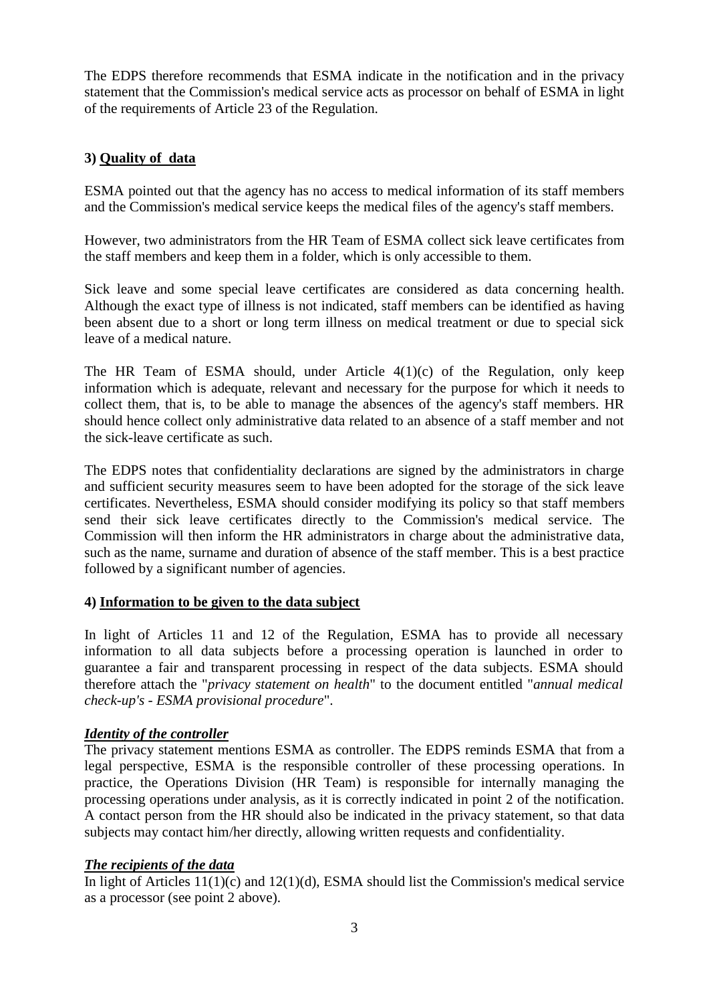The EDPS therefore recommends that ESMA indicate in the notification and in the privacy statement that the Commission's medical service acts as processor on behalf of ESMA in light of the requirements of Article 23 of the Regulation.

## **3) Quality of data**

ESMA pointed out that the agency has no access to medical information of its staff members and the Commission's medical service keeps the medical files of the agency's staff members.

However, two administrators from the HR Team of ESMA collect sick leave certificates from the staff members and keep them in a folder, which is only accessible to them.

Sick leave and some special leave certificates are considered as data concerning health. Although the exact type of illness is not indicated, staff members can be identified as having been absent due to a short or long term illness on medical treatment or due to special sick leave of a medical nature.

The HR Team of ESMA should, under Article 4(1)(c) of the Regulation, only keep information which is adequate, relevant and necessary for the purpose for which it needs to collect them, that is, to be able to manage the absences of the agency's staff members. HR should hence collect only administrative data related to an absence of a staff member and not the sick-leave certificate as such.

The EDPS notes that confidentiality declarations are signed by the administrators in charge and sufficient security measures seem to have been adopted for the storage of the sick leave certificates. Nevertheless, ESMA should consider modifying its policy so that staff members send their sick leave certificates directly to the Commission's medical service. The Commission will then inform the HR administrators in charge about the administrative data, such as the name, surname and duration of absence of the staff member. This is a best practice followed by a significant number of agencies.

## **4) Information to be given to the data subject**

In light of Articles 11 and 12 of the Regulation, ESMA has to provide all necessary information to all data subjects before a processing operation is launched in order to guarantee a fair and transparent processing in respect of the data subjects. ESMA should therefore attach the "*privacy statement on health*" to the document entitled "*annual medical check-up's - ESMA provisional procedure*".

## *Identity of the controller*

The privacy statement mentions ESMA as controller. The EDPS reminds ESMA that from a legal perspective, ESMA is the responsible controller of these processing operations. In practice, the Operations Division (HR Team) is responsible for internally managing the processing operations under analysis, as it is correctly indicated in point 2 of the notification. A contact person from the HR should also be indicated in the privacy statement, so that data subjects may contact him/her directly, allowing written requests and confidentiality.

#### *The recipients of the data*

In light of Articles 11(1)(c) and 12(1)(d), ESMA should list the Commission's medical service as a processor (see point 2 above).